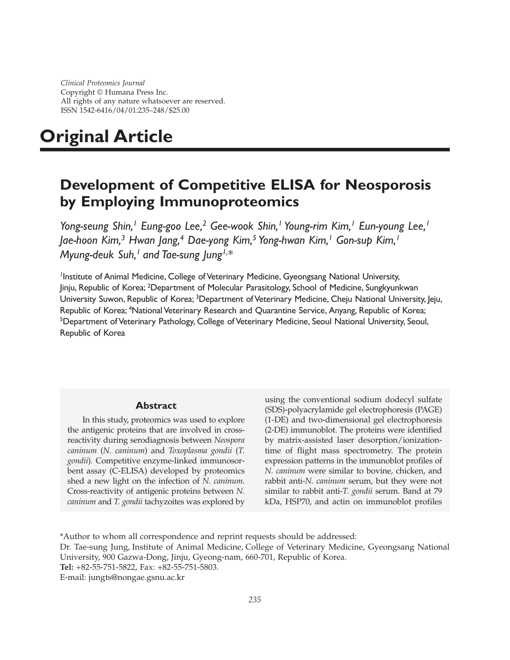*Clinical Proteomics Journal* Copyright © Humana Press Inc. All rights of any nature whatsoever are reserved. ISSN 1542-6416/04/01:235–248/\$25.00

# **Original Article**

# **Development of Competitive ELISA for Neosporosis by Employing Immunoproteomics**

*Yong-seung Shin,1 Eung-goo Lee,2 Gee-wook Shin,1 Young-rim Kim,1 Eun-young Lee,1 Jae-hoon Kim,3 Hwan Jang,4 Dae-yong Kim,5 Yong-hwan Kim,1 Gon-sup Kim,1 Myung-deuk Suh,1 and Tae-sung Jung1,\**

<sup>1</sup>Institute of Animal Medicine, College of Veterinary Medicine, Gyeongsang National University, Jinju, Republic of Korea; <sup>2</sup>Department of Molecular Parasitology, School of Medicine, Sungkyunkwan University Suwon, Republic of Korea; <sup>3</sup>Department of Veterinary Medicine, Cheju National University, Jeju, Republic of Korea; <sup>4</sup>National Veterinary Research and Quarantine Service, Anyang, Republic of Korea; <sup>5</sup>Department of Veterinary Pathology, College of Veterinary Medicine, Seoul National University, Seoul, Republic of Korea

#### **Abstract**

In this study, proteomics was used to explore the antigenic proteins that are involved in crossreactivity during serodiagnosis between *Neospora caninum* (*N. caninum*) and *Toxoplasma gondii* (*T. gondii*)*.* Competitive enzyme-linked immunosorbent assay (C-ELISA) developed by proteomics shed a new light on the infection of *N. caninum*. Cross-reactivity of antigenic proteins between *N. caninum* and *T. gondii* tachyzoites was explored by using the conventional sodium dodecyl sulfate (SDS)-polyacrylamide gel electrophoresis (PAGE) (1-DE) and two-dimensional gel electrophoresis (2-DE) immunoblot. The proteins were identified by matrix-assisted laser desorption/ionizationtime of flight mass spectrometry. The protein expression patterns in the immunoblot profiles of *N. caninum* were similar to bovine, chicken, and rabbit anti-*N. caninum* serum, but they were not similar to rabbit anti-*T. gondii* serum. Band at 79 kDa, HSP70, and actin on immunoblot profiles

Dr. Tae-sung Jung, Institute of Animal Medicine, College of Veterinary Medicine, Gyeongsang National University, 900 Gazwa-Dong, Jinju, Gyeong-nam, 660-701, Republic of Korea. **Tel:** +82-55-751-5822, Fax: +82-55-751-5803.

E-mail: jungts@nongae.gsnu.ac.kr

<sup>\*</sup>Author to whom all correspondence and reprint requests should be addressed: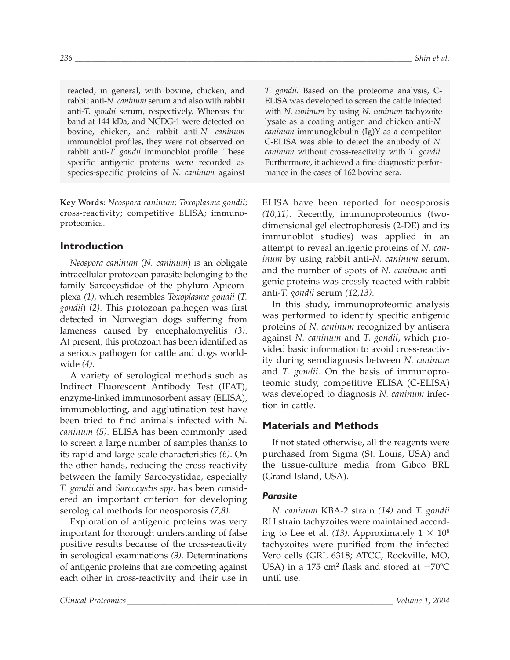reacted, in general, with bovine, chicken, and rabbit anti-*N. caninum* serum and also with rabbit anti-*T. gondii* serum, respectively. Whereas the band at 144 kDa, and NCDG-1 were detected on bovine, chicken, and rabbit anti-*N. caninum* immunoblot profiles, they were not observed on rabbit anti-*T. gondii* immunoblot profile. These specific antigenic proteins were recorded as species-specific proteins of *N. caninum* against

**Key Words:** *Neospora caninum*; *Toxoplasma gondii*; cross-reactivity; competitive ELISA; immunoproteomics.

# **Introduction**

*Neospora caninum* (*N. caninum*) is an obligate intracellular protozoan parasite belonging to the family Sarcocystidae of the phylum Apicomplexa *(1)*, which resembles *Toxoplasma gondii* (*T. gondii*) *(2)*. This protozoan pathogen was first detected in Norwegian dogs suffering from lameness caused by encephalomyelitis *(3)*. At present, this protozoan has been identified as a serious pathogen for cattle and dogs worldwide *(4)*.

A variety of serological methods such as Indirect Fluorescent Antibody Test (IFAT), enzyme-linked immunosorbent assay (ELISA), immunoblotting, and agglutination test have been tried to find animals infected with *N. caninum (5)*. ELISA has been commonly used to screen a large number of samples thanks to its rapid and large-scale characteristics *(6)*. On the other hands, reducing the cross-reactivity between the family Sarcocystidae, especially *T. gondii* and *Sarcocystis spp*. has been considered an important criterion for developing serological methods for neosporosis *(7,8)*.

Exploration of antigenic proteins was very important for thorough understanding of false positive results because of the cross-reactivity in serological examinations *(9)*. Determinations of antigenic proteins that are competing against each other in cross-reactivity and their use in *T. gondii.* Based on the proteome analysis, C-ELISA was developed to screen the cattle infected with *N. caninum* by using *N. caninum* tachyzoite lysate as a coating antigen and chicken anti-*N. caninum* immunoglobulin (Ig)Y as a competitor. C-ELISA was able to detect the antibody of *N. caninum* without cross-reactivity with *T. gondii*. Furthermore, it achieved a fine diagnostic performance in the cases of 162 bovine sera*.*

ELISA have been reported for neosporosis *(10,11)*. Recently, immunoproteomics (twodimensional gel electrophoresis (2-DE) and its immunoblot studies) was applied in an attempt to reveal antigenic proteins of *N. caninum* by using rabbit anti-*N. caninum* serum, and the number of spots of *N. caninum* antigenic proteins was crossly reacted with rabbit anti-*T. gondii* serum *(12,13)*.

In this study, immunoproteomic analysis was performed to identify specific antigenic proteins of *N. caninum* recognized by antisera against *N. caninum* and *T. gondii*, which provided basic information to avoid cross-reactivity during serodiagnosis between *N. caninum* and *T. gondii*. On the basis of immunoproteomic study, competitive ELISA (C-ELISA) was developed to diagnosis *N. caninum* infection in cattle.

# **Materials and Methods**

If not stated otherwise, all the reagents were purchased from Sigma (St. Louis, USA) and the tissue-culture media from Gibco BRL (Grand Island, USA).

#### *Parasite*

*N. caninum* KBA-2 strain *(14)* and *T. gondii* RH strain tachyzoites were maintained according to Lee et al. (13). Approximately  $1 \times 10^8$ tachyzoites were purified from the infected Vero cells (GRL 6318; ATCC, Rockville, MO, USA) in a 175 cm<sup>2</sup> flask and stored at  $-70^{\circ}$ C until use.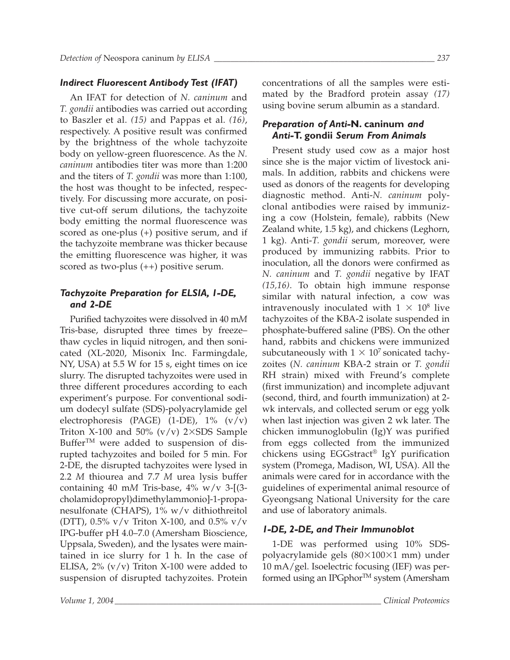# *Indirect Fluorescent Antibody Test (IFAT)*

An IFAT for detection of *N. caninum* and *T. gondii* antibodies was carried out according to Baszler et al. *(15)* and Pappas et al. *(16)*, respectively. A positive result was confirmed by the brightness of the whole tachyzoite body on yellow-green fluorescence. As the *N. caninum* antibodies titer was more than 1:200 and the titers of *T. gondii* was more than 1:100, the host was thought to be infected, respectively. For discussing more accurate, on positive cut-off serum dilutions, the tachyzoite body emitting the normal fluorescence was scored as one-plus (+) positive serum, and if the tachyzoite membrane was thicker because the emitting fluorescence was higher, it was scored as two-plus (++) positive serum.

# *Tachyzoite Preparation for ELSIA, 1-DE, and 2-DE*

Purified tachyzoites were dissolved in 40 m*M* Tris-base, disrupted three times by freeze– thaw cycles in liquid nitrogen, and then sonicated (XL-2020, Misonix Inc. Farmingdale, NY, USA) at 5.5 W for 15 s, eight times on ice slurry. The disrupted tachyzoites were used in three different procedures according to each experiment's purpose. For conventional sodium dodecyl sulfate (SDS)-polyacrylamide gel electrophoresis (PAGE) (1-DE), 1% (v/v) Triton X-100 and 50%  $(v/v)$  2×SDS Sample Buffer<sup>TM</sup> were added to suspension of disrupted tachyzoites and boiled for 5 min. For 2-DE, the disrupted tachyzoites were lysed in 2.2 *M* thiourea and 7.7 *M* urea lysis buffer containing 40 m*M* Tris-base, 4% w/v 3-[(3 cholamidopropyl)dimethylammonio]-1-propanesulfonate (CHAPS), 1% w/v dithiothreitol (DTT), 0.5%  $v/v$  Triton X-100, and 0.5%  $v/v$ IPG-buffer pH 4.0–7.0 (Amersham Bioscience, Uppsala, Sweden), and the lysates were maintained in ice slurry for 1 h. In the case of ELISA,  $2\%$  (v/v) Triton X-100 were added to suspension of disrupted tachyzoites. Protein concentrations of all the samples were estimated by the Bradford protein assay *(17)* using bovine serum albumin as a standard.

# *Preparation of Anti-***N. caninum** *and Anti-***T. gondii** *Serum From Animals*

Present study used cow as a major host since she is the major victim of livestock animals. In addition, rabbits and chickens were used as donors of the reagents for developing diagnostic method. Anti-*N. caninum* polyclonal antibodies were raised by immunizing a cow (Holstein, female), rabbits (New Zealand white, 1.5 kg), and chickens (Leghorn, 1 kg). Anti-*T. gondii* serum, moreover, were produced by immunizing rabbits. Prior to inoculation, all the donors were confirmed as *N. caninum* and *T. gondii* negative by IFAT *(15,16)*. To obtain high immune response similar with natural infection, a cow was intravenously inoculated with  $1 \times 10^8$  live tachyzoites of the KBA-2 isolate suspended in phosphate-buffered saline (PBS). On the other hand, rabbits and chickens were immunized subcutaneously with  $1 \times 10^7$  sonicated tachyzoites (*N. caninum* KBA-2 strain or *T. gondii* RH strain) mixed with Freund's complete (first immunization) and incomplete adjuvant (second, third, and fourth immunization) at 2 wk intervals, and collected serum or egg yolk when last injection was given 2 wk later. The chicken immunoglobulin (Ig)Y was purified from eggs collected from the immunized chickens using EGGstract® IgY purification system (Promega, Madison, WI, USA). All the animals were cared for in accordance with the guidelines of experimental animal resource of Gyeongsang National University for the care and use of laboratory animals.

# *1-DE, 2-DE, and Their Immunoblot*

1-DE was performed using 10% SDSpolyacrylamide gels  $(80\times100\times1$  mm) under 10 mA/gel. Isoelectric focusing (IEF) was performed using an IPGphor™ system (Amersham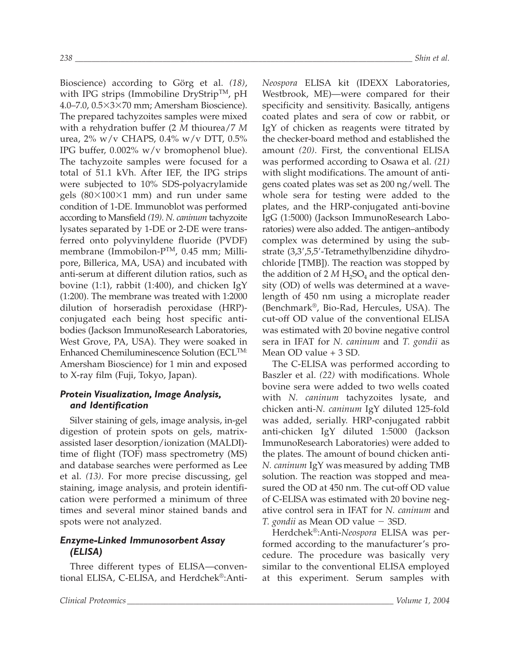Bioscience) according to Görg et al. *(18)*, with IPG strips (Immobiline DryStrip<sup>TM</sup>, pH 4.0–7.0,  $0.5\times3\times70$  mm; Amersham Bioscience). The prepared tachyzoites samples were mixed with a rehydration buffer (2 *M* thiourea/7 *M* urea, 2% w/v CHAPS, 0.4% w/v DTT, 0.5% IPG buffer, 0.002% w/v bromophenol blue). The tachyzoite samples were focused for a total of 51.1 kVh. After IEF, the IPG strips were subjected to 10% SDS-polyacrylamide gels  $(80\times100\times1$  mm) and run under same condition of 1-DE. Immunoblot was performed according to Mansfield *(19)*. *N. caninum* tachyzoite lysates separated by 1-DE or 2-DE were transferred onto polyvinyldene fluoride (PVDF) membrane (Immobilon-PTM, 0.45 mm; Millipore, Billerica, MA, USA) and incubated with anti-serum at different dilution ratios, such as bovine (1:1), rabbit (1:400), and chicken IgY (1:200). The membrane was treated with 1:2000 dilution of horseradish peroxidase (HRP) conjugated each being host specific antibodies (Jackson ImmunoResearch Laboratories, West Grove, PA, USA). They were soaked in Enhanced Chemiluminescence Solution (ECLTM: Amersham Bioscience) for 1 min and exposed to X-ray film (Fuji, Tokyo, Japan).

# *Protein Visualization, Image Analysis, and Identification*

Silver staining of gels, image analysis, in-gel digestion of protein spots on gels, matrixassisted laser desorption/ionization (MALDI) time of flight (TOF) mass spectrometry (MS) and database searches were performed as Lee et al. *(13)*. For more precise discussing, gel staining, image analysis, and protein identification were performed a minimum of three times and several minor stained bands and spots were not analyzed.

# *Enzyme-Linked Immunosorbent Assay (ELISA)*

Three different types of ELISA—conventional ELISA, C-ELISA, and Herdchek®:Anti*Neospora* ELISA kit (IDEXX Laboratories, Westbrook, ME)—were compared for their specificity and sensitivity. Basically, antigens coated plates and sera of cow or rabbit, or IgY of chicken as reagents were titrated by the checker-board method and established the amount *(20)*. First, the conventional ELISA was performed according to Osawa et al. *(21)* with slight modifications. The amount of antigens coated plates was set as 200 ng/well. The whole sera for testing were added to the plates, and the HRP-conjugated anti-bovine IgG (1:5000) (Jackson ImmunoResearch Laboratories) were also added. The antigen–antibody complex was determined by using the substrate (3,3',5,5'-Tetramethylbenzidine dihydrochloride [TMB]). The reaction was stopped by the addition of  $2 M H_2SO_4$  and the optical density (OD) of wells was determined at a wavelength of 450 nm using a microplate reader (Benchmark®, Bio-Rad, Hercules, USA). The cut-off OD value of the conventional ELISA was estimated with 20 bovine negative control sera in IFAT for *N. caninum* and *T. gondii* as

The C-ELISA was performed according to Baszler et al. *(22)* with modifications. Whole bovine sera were added to two wells coated with *N. caninum* tachyzoites lysate, and chicken anti-*N. caninum* IgY diluted 125-fold was added, serially. HRP-conjugated rabbit anti-chicken IgY diluted 1:5000 (Jackson ImmunoResearch Laboratories) were added to the plates. The amount of bound chicken anti-*N. caninum* IgY was measured by adding TMB solution. The reaction was stopped and measured the OD at 450 nm. The cut-off OD value of C-ELISA was estimated with 20 bovine negative control sera in IFAT for *N. caninum* and *T. gondii* as Mean OD value - 3SD.

Mean OD value + 3 SD.

Herdchek®:Anti-*Neospora* ELISA was performed according to the manufacturer's procedure. The procedure was basically very similar to the conventional ELISA employed at this experiment. Serum samples with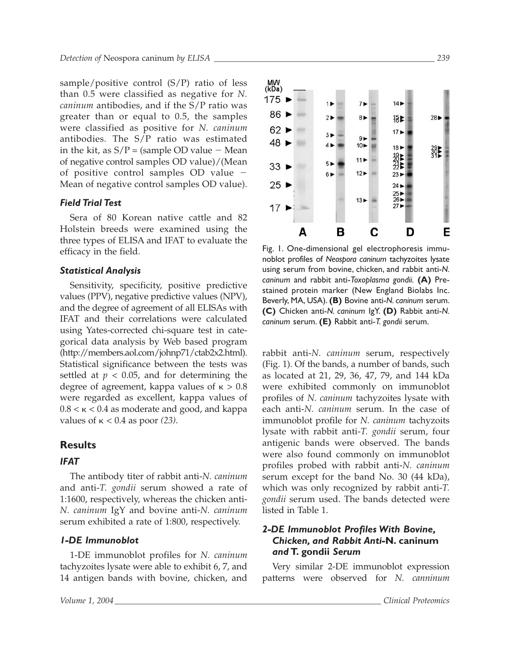sample/positive control (S/P) ratio of less than 0.5 were classified as negative for *N. caninum* antibodies, and if the S/P ratio was greater than or equal to 0.5, the samples were classified as positive for *N. caninum* antibodies. The S/P ratio was estimated in the kit, as  $S/P =$  (sample OD value  $-$  Mean of negative control samples OD value)/(Mean of positive control samples OD value - Mean of negative control samples OD value).

#### *Field Trial Test*

Sera of 80 Korean native cattle and 82 Holstein breeds were examined using the three types of ELISA and IFAT to evaluate the efficacy in the field.

#### *Statistical Analysis*

Sensitivity, specificity, positive predictive values (PPV), negative predictive values (NPV), and the degree of agreement of all ELISAs with IFAT and their correlations were calculated using Yates-corrected chi-square test in categorical data analysis by Web based program (http://members.aol.com/johnp71/ctab2x2.html). Statistical significance between the tests was settled at  $p < 0.05$ , and for determining the degree of agreement, kappa values of  $\kappa > 0.8$ were regarded as excellent, kappa values of  $0.8 < \kappa < 0.4$  as moderate and good, and kappa values of  $\kappa$  < 0.4 as poor (23).

#### **Results**

#### *IFAT*

The antibody titer of rabbit anti-*N. caninum* and anti-*T. gondii* serum showed a rate of 1:1600, respectively, whereas the chicken anti-*N. caninum* IgY and bovine anti-*N. caninum* serum exhibited a rate of 1:800, respectively.

#### *1-DE Immunoblot*

1-DE immunoblot profiles for *N. caninum* tachyzoites lysate were able to exhibit 6, 7, and 14 antigen bands with bovine, chicken, and



Fig. 1. One-dimensional gel electrophoresis immunoblot profiles of *Neospora caninum* tachyzoites lysate using serum from bovine, chicken, and rabbit anti-*N. caninum* and rabbit anti-*Toxoplasma gondii.* **(A)** Prestained protein marker (New England Biolabs Inc. Beverly, MA, USA). **(B)** Bovine anti-*N. caninum* serum. **(C)** Chicken anti-*N. caninum* IgY. **(D)** Rabbit anti-*N. caninum* serum. **(E)** Rabbit anti-*T. gondii* serum.

rabbit anti-*N. caninum* serum, respectively (Fig. 1). Of the bands, a number of bands, such as located at 21, 29, 36, 47, 79, and 144 kDa were exhibited commonly on immunoblot profiles of *N. caninum* tachyzoites lysate with each anti-*N. caninum* serum. In the case of immunoblot profile for *N. caninum* tachyzoits lysate with rabbit anti-*T. gondii* serum, four antigenic bands were observed. The bands were also found commonly on immunoblot profiles probed with rabbit anti-*N. caninum* serum except for the band No. 30 (44 kDa), which was only recognized by rabbit anti-*T. gondii* serum used. The bands detected were listed in Table 1.

## *2-DE Immunoblot Profiles With Bovine, Chicken, and Rabbit Anti-***N. caninum** *and* **T. gondii** *Serum*

Very similar 2-DE immunoblot expression patterns were observed for *N. canninum*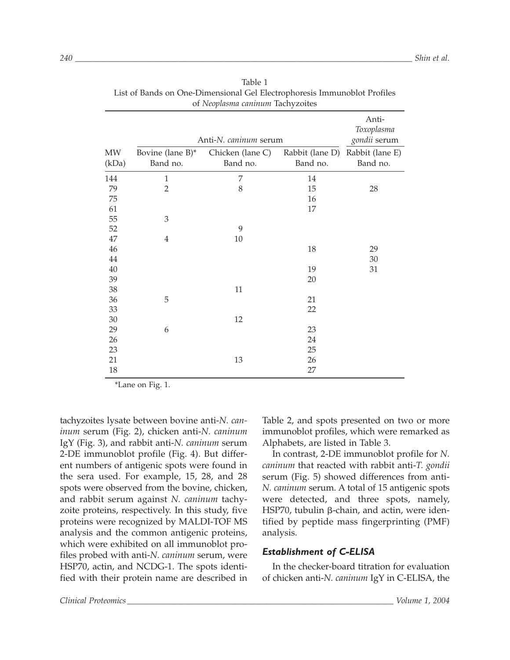|        |                  | Anti-N. caninum serum |                 | Anti-<br>Toxoplasma<br>gondii serum |
|--------|------------------|-----------------------|-----------------|-------------------------------------|
| MW     | Bovine (lane B)* | Chicken (lane C)      | Rabbit (lane D) | Rabbit (lane E)                     |
| (kDa)  | Band no.         | Band no.              | Band no.        | Band no.                            |
| 144    | $\mathbf{1}$     | 7                     | 14              |                                     |
| 79     | $\overline{2}$   | 8                     | 15              | 28                                  |
| 75     |                  |                       | 16              |                                     |
| 61     |                  |                       | 17              |                                     |
| 55     | $\mathfrak{Z}$   |                       |                 |                                     |
| 52     |                  | 9                     |                 |                                     |
| 47     | 4                | 10                    |                 |                                     |
| 46     |                  |                       | 18              | 29                                  |
| 44     |                  |                       |                 | 30                                  |
| $40\,$ |                  |                       | 19              | 31                                  |
| 39     |                  |                       | 20              |                                     |
| 38     |                  | $11\,$                |                 |                                     |
| 36     | 5                |                       | 21              |                                     |
| 33     |                  |                       | 22              |                                     |
| $30\,$ |                  | 12                    |                 |                                     |
| 29     | 6                |                       | 23              |                                     |
| 26     |                  |                       | 24              |                                     |
| 23     |                  |                       | 25              |                                     |
| 21     |                  | 13                    | 26              |                                     |
| 18     |                  |                       | 27              |                                     |

Table 1 List of Bands on One-Dimensional Gel Electrophoresis Immunoblot Profiles of *Neoplasma caninum* Tachyzoites

\*Lane on Fig. 1.

tachyzoites lysate between bovine anti-*N. caninum* serum (Fig. 2), chicken anti-*N. caninum* IgY (Fig. 3), and rabbit anti-*N. caninum* serum 2-DE immunoblot profile (Fig. 4). But different numbers of antigenic spots were found in the sera used. For example, 15, 28, and 28 spots were observed from the bovine, chicken, and rabbit serum against *N. caninum* tachyzoite proteins, respectively. In this study, five proteins were recognized by MALDI-TOF MS analysis and the common antigenic proteins, which were exhibited on all immunoblot profiles probed with anti-*N. caninum* serum, were HSP70, actin, and NCDG-1. The spots identified with their protein name are described in Table 2, and spots presented on two or more immunoblot profiles, which were remarked as Alphabets, are listed in Table 3.

In contrast, 2-DE immunoblot profile for *N. caninum* that reacted with rabbit anti-*T. gondii* serum (Fig. 5) showed differences from anti-*N. caninum* serum. A total of 15 antigenic spots were detected, and three spots, namely, HSP70, tubulin  $\beta$ -chain, and actin, were identified by peptide mass fingerprinting (PMF) analysis.

#### *Establishment of C-ELISA*

In the checker-board titration for evaluation of chicken anti-*N. caninum* IgY in C-ELISA, the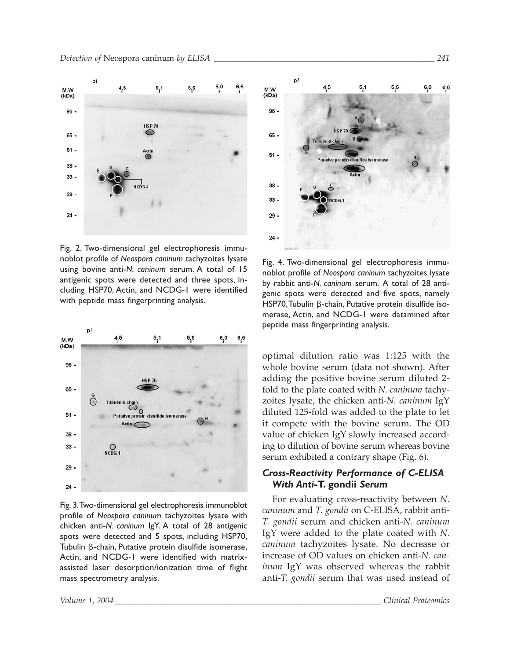

Fig. 2. Two-dimensional gel electrophoresis immunoblot profile of *Neospora caninum* tachyzoites lysate using bovine anti-*N. caninum* serum. A total of 15 antigenic spots were detected and three spots, including HSP70, Actin, and NCDG-1 were identified with peptide mass fingerprinting analysis.



Fig. 3.Two-dimensional gel electrophoresis immunoblot profile of *Neospora caninum* tachyzoites lysate with chicken anti-*N. caninum* IgY. A total of 28 antigenic spots were detected and 5 spots, including HSP70, Tubulin  $\beta$ -chain, Putative protein disulfide isomerase, Actin, and NCDG-1 were identified with matrixassisted laser desorption/ionization time of flight mass spectrometry analysis.



Fig. 4. Two-dimensional gel electrophoresis immunoblot profile of *Neospora caninum* tachyzoites lysate by rabbit anti-*N. caninum* serum. A total of 28 antigenic spots were detected and five spots, namely HSP70, Tubulin  $\beta$ -chain, Putative protein disulfide isomerase, Actin, and NCDG-1 were datamined after peptide mass fingerprinting analysis.

optimal dilution ratio was 1:125 with the whole bovine serum (data not shown). After adding the positive bovine serum diluted 2 fold to the plate coated with *N. caninum* tachyzoites lysate, the chicken anti-*N. caninum* IgY diluted 125-fold was added to the plate to let it compete with the bovine serum. The OD value of chicken IgY slowly increased according to dilution of bovine serum whereas bovine serum exhibited a contrary shape (Fig. 6).

## *Cross-Reactivity Performance of C-ELISA With Anti-***T. gondii** *Serum*

For evaluating cross-reactivity between *N. caninum* and *T. gondii* on C-ELISA, rabbit anti-*T. gondii* serum and chicken anti-*N. caninum* IgY were added to the plate coated with *N. caninum* tachyzoites lysate. No decrease or increase of OD values on chicken anti-*N. caninum* IgY was observed whereas the rabbit anti-*T. gondii* serum that was used instead of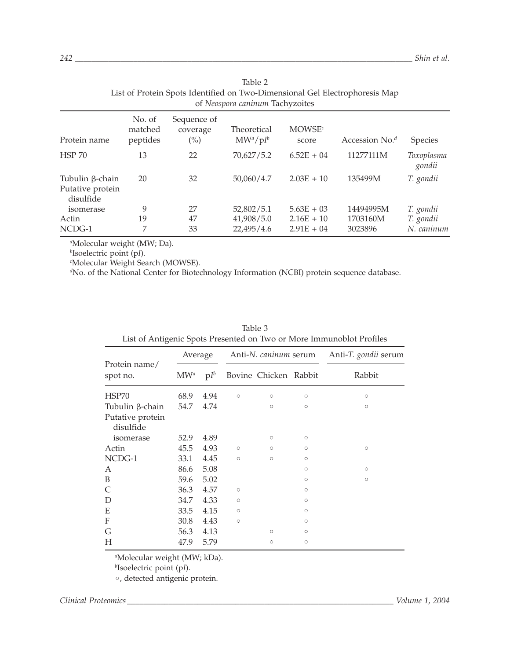| of Neospora caninum Tachyzoites                  |                               |                                           |                            |                             |                   |                      |  |  |  |
|--------------------------------------------------|-------------------------------|-------------------------------------------|----------------------------|-----------------------------|-------------------|----------------------|--|--|--|
| Protein name                                     | No. of<br>matched<br>peptides | Sequence of<br>coverage<br>$\binom{0}{0}$ | Theoretical<br>$MW^a/pI^b$ | MOWSE <sup>c</sup><br>score | Accession No. $d$ | Species              |  |  |  |
| <b>HSP 70</b>                                    | 13                            | 22                                        | 70,627/5.2                 | $6.52E + 04$                | 11277111M         | Toxoplasma<br>gondii |  |  |  |
| Tubulin β-chain<br>Putative protein<br>disulfide | 20                            | 32                                        | 50,060/4.7                 | $2.03E + 10$                | 135499M           | T. gondii            |  |  |  |
| isomerase                                        | 9                             | 27                                        | 52,802/5.1                 | $5.63E + 03$                | 14494995M         | T. gondii            |  |  |  |
| Actin                                            | 19                            | 47                                        | 41,908/5.0                 | $2.16E + 10$                | 1703160M          | T. gondii            |  |  |  |
| NCDG-1                                           | 7                             | 33                                        | 22,495/4.6                 | $2.91E + 04$                | 3023896           | N. caninum           |  |  |  |

| Table 2                                                                     |
|-----------------------------------------------------------------------------|
| List of Protein Spots Identified on Two-Dimensional Gel Electrophoresis Map |
| of Neospora caninum Tachyzoites                                             |

*a* Molecular weight (MW; Da).

*b* Isoelectric point (p*I*).

*c* Molecular Weight Search (MOWSE).

*d* No. of the National Center for Biotechnology Information (NCBI) protein sequence database.

| $\sigma$      |        |         |         |                      |                                                |  |  |  |  |
|---------------|--------|---------|---------|----------------------|------------------------------------------------|--|--|--|--|
| Average       |        |         |         | Anti-T. gondii serum |                                                |  |  |  |  |
| $\text{MW}^a$ | $pI^b$ |         |         |                      | Rabbit                                         |  |  |  |  |
| 68.9          | 4.94   | $\circ$ | $\circ$ | $\circ$              | $\circ$                                        |  |  |  |  |
| 54.7          | 4.74   |         | $\circ$ | $\circ$              | $\circ$                                        |  |  |  |  |
|               |        |         |         |                      |                                                |  |  |  |  |
| 52.9          | 4.89   |         | $\circ$ | $\circ$              |                                                |  |  |  |  |
| 45.5          | 4.93   | $\circ$ | $\circ$ | $\circ$              | $\circ$                                        |  |  |  |  |
| 33.1          | 4.45   | $\circ$ | $\circ$ | $\circ$              |                                                |  |  |  |  |
| 86.6          | 5.08   |         |         | $\circ$              | $\circ$                                        |  |  |  |  |
| 59.6          | 5.02   |         |         | $\circ$              | $\circ$                                        |  |  |  |  |
| 36.3          | 4.57   | $\circ$ |         | $\circ$              |                                                |  |  |  |  |
| 34.7          | 4.33   | $\circ$ |         | $\circ$              |                                                |  |  |  |  |
| 33.5          | 4.15   | $\circ$ |         | $\circ$              |                                                |  |  |  |  |
| 30.8          | 4.43   | $\circ$ |         | $\circ$              |                                                |  |  |  |  |
| 56.3          | 4.13   |         | $\circ$ | $\circ$              |                                                |  |  |  |  |
| 47.9          | 5.79   |         | $\circ$ | $\circ$              |                                                |  |  |  |  |
|               |        |         |         |                      | Anti-N. caninum serum<br>Bovine Chicken Rabbit |  |  |  |  |

| Table 3                                                              |  |
|----------------------------------------------------------------------|--|
| List of Antigenic Spots Presented on Two or More Immunoblot Profiles |  |

*a* Molecular weight (MW; kDa).

*b* Isoelectric point (p*I*).

•, detected antigenic protein.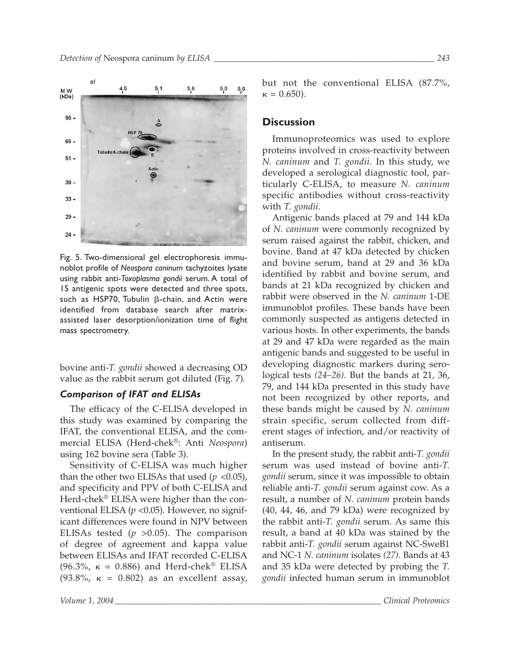

Fig. 5. Two-dimensional gel electrophoresis immunoblot profile of *Neospora caninum* tachyzoites lysate using rabbit anti-*Toxoplasma gondii* serum. A total of 15 antigenic spots were detected and three spots, such as HSP70, Tubulin  $\beta$ -chain, and Actin were identified from database search after matrixassisted laser desorption/ionization time of flight mass spectrometry.

bovine anti-*T. gondii* showed a decreasing OD value as the rabbit serum got diluted (Fig. 7)*.* 

#### *Comparison of IFAT and ELISAs*

The efficacy of the C-ELISA developed in this study was examined by comparing the IFAT, the conventional ELISA, and the commercial ELISA (Herd-chek®: Anti *Neospora*) using 162 bovine sera (Table 3).

Sensitivity of C-ELISA was much higher than the other two ELISAs that used  $(p \le 0.05)$ , and specificity and PPV of both C-ELISA and Herd-chek® ELISA were higher than the conventional ELISA ( $p$  <0.05). However, no significant differences were found in NPV between ELISAs tested (*p* >0.05). The comparison of degree of agreement and kappa value between ELISAs and IFAT recorded C-ELISA (96.3%,  $\kappa$  = 0.886) and Herd-chek® ELISA (93.8%,  $\kappa = 0.802$ ) as an excellent assay,

but not the conventional ELISA (87.7%,  $\kappa = 0.650$ ).

#### **Discussion**

Immunoproteomics was used to explore proteins involved in cross-reactivity between *N. caninum* and *T. gondii*. In this study, we developed a serological diagnostic tool, particularly C-ELISA, to measure *N. caninum* specific antibodies without cross-reactivity with *T. gondii*.

Antigenic bands placed at 79 and 144 kDa of *N. caninum* were commonly recognized by serum raised against the rabbit, chicken, and bovine. Band at 47 kDa detected by chicken and bovine serum, band at 29 and 36 kDa identified by rabbit and bovine serum, and bands at 21 kDa recognized by chicken and rabbit were observed in the *N. caninum* 1-DE immunoblot profiles. These bands have been commonly suspected as antigens detected in various hosts. In other experiments, the bands at 29 and 47 kDa were regarded as the main antigenic bands and suggested to be useful in developing diagnostic markers during serological tests *(24–26)*. But the bands at 21, 36, 79, and 144 kDa presented in this study have not been recognized by other reports, and these bands might be caused by *N. caninum* strain specific, serum collected from different stages of infection, and/or reactivity of antiserum.

In the present study, the rabbit anti-*T. gondii* serum was used instead of bovine anti-*T. gondii* serum, since it was impossible to obtain reliable anti-*T. gondii* serum against cow. As a result, a number of *N. caninum* protein bands (40, 44, 46, and 79 kDa) were recognized by the rabbit anti-*T. gondii* serum. As same this result, a band at 40 kDa was stained by the rabbit anti-*T. gondii* serum against NC-SweB1 and NC-1 *N. caninum* isolates *(27)*. Bands at 43 and 35 kDa were detected by probing the *T. gondii* infected human serum in immunoblot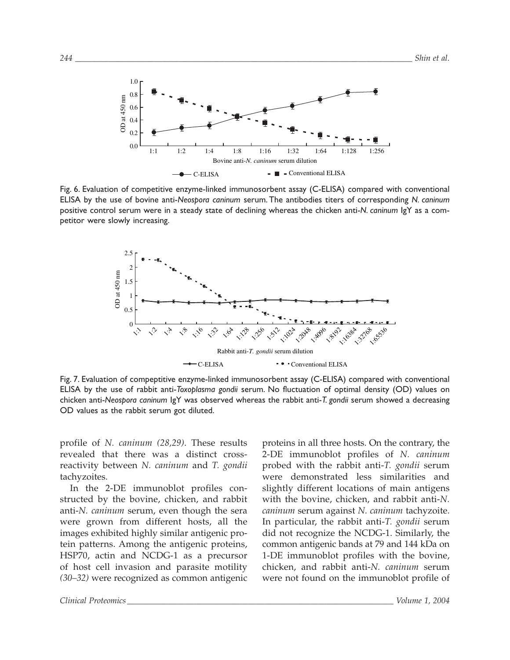

Fig. 6. Evaluation of competitive enzyme-linked immunosorbent assay (C-ELISA) compared with conventional ELISA by the use of bovine anti-*Neospora caninum* serum. The antibodies titers of corresponding *N. caninum* positive control serum were in a steady state of declining whereas the chicken anti-*N. caninum* IgY as a competitor were slowly increasing.



Fig. 7. Evaluation of compeptitive enzyme-linked immunosorbent assay (C-ELISA) compared with conventional ELISA by the use of rabbit anti-*Toxoplasma gondii* serum. No fluctuation of optimal density (OD) values on chicken anti-*Neospora caninum* IgY was observed whereas the rabbit anti-*T. gondii* serum showed a decreasing OD values as the rabbit serum got diluted.

profile of *N. caninum (28,29)*. These results revealed that there was a distinct crossreactivity between *N. caninum* and *T. gondii* tachyzoites.

In the 2-DE immunoblot profiles constructed by the bovine, chicken, and rabbit anti-*N. caninum* serum, even though the sera were grown from different hosts, all the images exhibited highly similar antigenic protein patterns. Among the antigenic proteins, HSP70, actin and NCDG-1 as a precursor of host cell invasion and parasite motility *(30–32)* were recognized as common antigenic

proteins in all three hosts. On the contrary, the 2-DE immunoblot profiles of *N. caninum* probed with the rabbit anti-*T. gondii* serum were demonstrated less similarities and slightly different locations of main antigens with the bovine, chicken, and rabbit anti-*N. caninum* serum against *N. caninum* tachyzoite. In particular, the rabbit anti-*T. gondii* serum did not recognize the NCDG-1. Similarly, the common antigenic bands at 79 and 144 kDa on 1-DE immunoblot profiles with the bovine, chicken, and rabbit anti-*N. caninum* serum were not found on the immunoblot profile of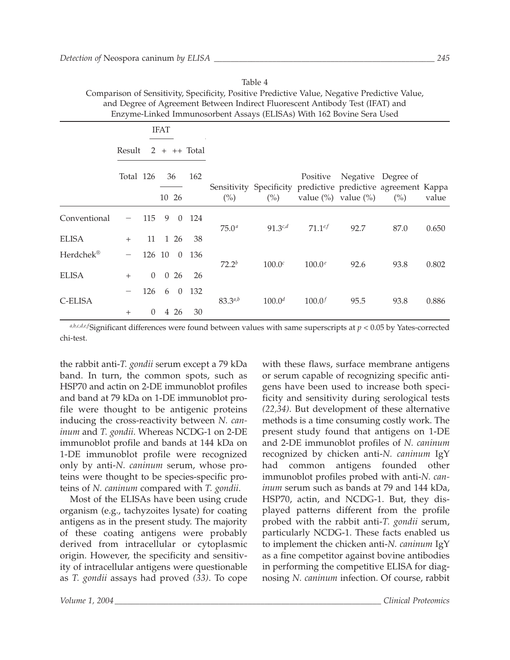| and Degree of Agreement Detween maneet Fuorescent Anthony Test (11711) and<br>Enzyme-Linked Immunosorbent Assays (ELISAs) With 162 Bovine Sera Used |           |          |             |                |                |                   |                                                                                 |                       |                           |                                      |       |
|-----------------------------------------------------------------------------------------------------------------------------------------------------|-----------|----------|-------------|----------------|----------------|-------------------|---------------------------------------------------------------------------------|-----------------------|---------------------------|--------------------------------------|-------|
|                                                                                                                                                     |           |          | <b>IFAT</b> |                |                |                   |                                                                                 |                       |                           |                                      |       |
|                                                                                                                                                     | Result    |          |             |                | $2 + ++ Total$ |                   |                                                                                 |                       |                           |                                      |       |
|                                                                                                                                                     | Total 126 |          |             | 36<br>10 26    | 162            | $\binom{0}{0}$    | Sensitivity Specificity predictive predictive agreement Kappa<br>$\binom{0}{0}$ | Positive              | value $(\%)$ value $(\%)$ | Negative Degree of<br>$\binom{0}{0}$ | value |
| Conventional                                                                                                                                        |           | 115      | 9           | $\overline{0}$ | 124            | 75.0 <sup>a</sup> | $91.3^{c,d}$                                                                    | $71.1$ <sup>e</sup> f | 92.7                      | 87.0                                 | 0.650 |
| <b>ELISA</b>                                                                                                                                        | $^{+}$    |          |             | 11 1 26        | 38             |                   |                                                                                 |                       |                           |                                      |       |
| Herdchek®                                                                                                                                           |           | 126 10   |             | $\Omega$       | 136            | $72.2^{b}$        | 100.0 <sup>c</sup>                                                              | $100.0^e$             | 92.6                      | 93.8                                 | 0.802 |
| <b>ELISA</b>                                                                                                                                        | $^{+}$    | $\Omega$ |             | 026            | 26             |                   |                                                                                 |                       |                           |                                      |       |
| C-ELISA                                                                                                                                             |           | 126      |             | 6 0            | 132            | $83.3^{a,b}$      | $100.0^d$                                                                       | $100.0^{f}$           | 95.5                      | 93.8                                 | 0.886 |
|                                                                                                                                                     | $^{+}$    | $\Omega$ |             | 4 26           | 30             |                   |                                                                                 |                       |                           |                                      |       |

Table 4

Comparison of Sensitivity, Specificity, Positive Predictive Value, Negative Predictive Value, and Degree of Agreement Between Indirect Fluorescent Antibody Test (IFAT) and

 $a,b,c,d,e,f$ Significant differences were found between values with same superscripts at  $p < 0.05$  by Yates-corrected chi-test.

the rabbit anti-*T. gondii* serum except a 79 kDa band. In turn, the common spots, such as HSP70 and actin on 2-DE immunoblot profiles and band at 79 kDa on 1-DE immunoblot profile were thought to be antigenic proteins inducing the cross-reactivity between *N. caninum* and *T. gondii*. Whereas NCDG-1 on 2-DE immunoblot profile and bands at 144 kDa on 1-DE immunoblot profile were recognized only by anti-*N. caninum* serum, whose proteins were thought to be species-specific proteins of *N. caninum* compared with *T. gondii*.

Most of the ELISAs have been using crude organism (e.g., tachyzoites lysate) for coating antigens as in the present study. The majority of these coating antigens were probably derived from intracellular or cytoplasmic origin. However, the specificity and sensitivity of intracellular antigens were questionable as *T. gondii* assays had proved *(33)*. To cope with these flaws, surface membrane antigens or serum capable of recognizing specific antigens have been used to increase both specificity and sensitivity during serological tests *(22,34)*. But development of these alternative methods is a time consuming costly work. The present study found that antigens on 1-DE and 2-DE immunoblot profiles of *N. caninum* recognized by chicken anti-*N. caninum* IgY had common antigens founded other immunoblot profiles probed with anti-*N. caninum* serum such as bands at 79 and 144 kDa, HSP70, actin, and NCDG-1. But, they displayed patterns different from the profile probed with the rabbit anti-*T. gondii* serum, particularly NCDG-1. These facts enabled us to implement the chicken anti-*N. caninum* IgY as a fine competitor against bovine antibodies in performing the competitive ELISA for diagnosing *N. caninum* infection. Of course, rabbit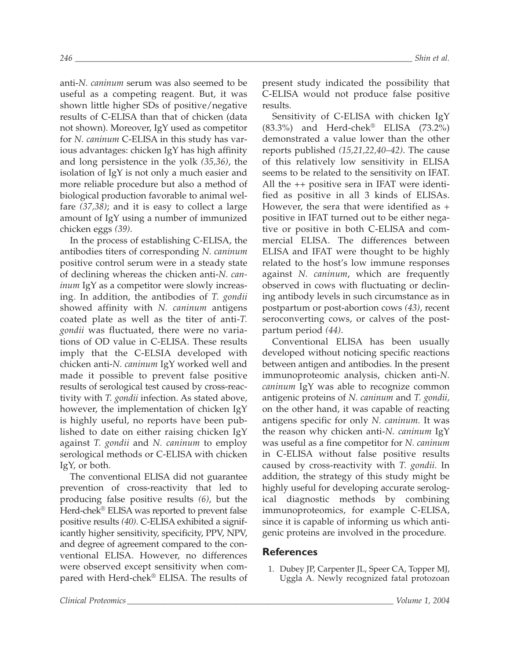anti-*N. caninum* serum was also seemed to be useful as a competing reagent. But, it was shown little higher SDs of positive/negative results of C-ELISA than that of chicken (data not shown). Moreover, IgY used as competitor for *N. caninum* C-ELISA in this study has various advantages: chicken IgY has high affinity and long persistence in the yolk *(35,36)*, the isolation of IgY is not only a much easier and more reliable procedure but also a method of biological production favorable to animal welfare *(37,38)*; and it is easy to collect a large amount of IgY using a number of immunized chicken eggs *(39)*.

In the process of establishing C-ELISA, the antibodies titers of corresponding *N. caninum* positive control serum were in a steady state of declining whereas the chicken anti-*N. caninum* IgY as a competitor were slowly increasing. In addition, the antibodies of *T. gondii* showed affinity with *N. caninum* antigens coated plate as well as the titer of anti-*T. gondii* was fluctuated, there were no variations of OD value in C-ELISA. These results imply that the C-ELSIA developed with chicken anti-*N. caninum* IgY worked well and made it possible to prevent false positive results of serological test caused by cross-reactivity with *T. gondii* infection. As stated above, however, the implementation of chicken IgY is highly useful, no reports have been published to date on either raising chicken IgY against *T. gondii* and *N. caninum* to employ serological methods or C-ELISA with chicken IgY, or both.

The conventional ELISA did not guarantee prevention of cross-reactivity that led to producing false positive results *(6)*, but the Herd-chek® ELISA was reported to prevent false positive results *(40)*. C-ELISA exhibited a significantly higher sensitivity, specificity, PPV, NPV, and degree of agreement compared to the conventional ELISA. However, no differences were observed except sensitivity when compared with Herd-chek® ELISA. The results of present study indicated the possibility that C-ELISA would not produce false positive results.

Sensitivity of C-ELISA with chicken IgY (83.3%) and Herd-chek® ELISA (73.2%) demonstrated a value lower than the other reports published *(15,21,22,40–42)*. The cause of this relatively low sensitivity in ELISA seems to be related to the sensitivity on IFAT. All the ++ positive sera in IFAT were identified as positive in all 3 kinds of ELISAs. However, the sera that were identified as + positive in IFAT turned out to be either negative or positive in both C-ELISA and commercial ELISA. The differences between ELISA and IFAT were thought to be highly related to the host's low immune responses against *N. caninum*, which are frequently observed in cows with fluctuating or declining antibody levels in such circumstance as in postpartum or post-abortion cows *(43)*, recent seroconverting cows, or calves of the postpartum period *(44)*.

Conventional ELISA has been usually developed without noticing specific reactions between antigen and antibodies. In the present immunoproteomic analysis, chicken anti-*N. caninum* IgY was able to recognize common antigenic proteins of *N. caninum* and *T. gondii,* on the other hand, it was capable of reacting antigens specific for only *N. caninum.* It was the reason why chicken anti-*N. caninum* IgY was useful as a fine competitor for *N. caninum* in C-ELISA without false positive results caused by cross-reactivity with *T. gondii*. In addition, the strategy of this study might be highly useful for developing accurate serological diagnostic methods by combining immunoproteomics, for example C-ELISA, since it is capable of informing us which antigenic proteins are involved in the procedure.

#### **References**

1. Dubey JP, Carpenter JL, Speer CA, Topper MJ, Uggla A. Newly recognized fatal protozoan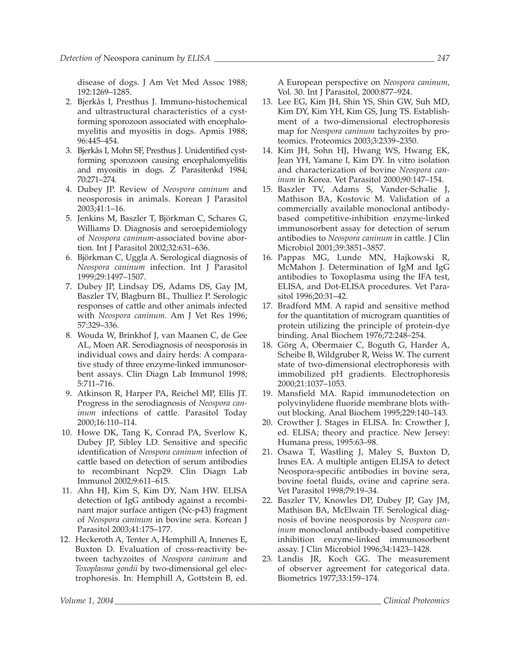disease of dogs. J Am Vet Med Assoc 1988; 192:1269–1285.

- 2. Bjerkås I, Presthus J. Immuno-histochemical and ultrastructural characteristics of a cystforming sporozoon associated with encephalomyelitis and myositis in dogs. Apmis 1988; 96:445–454.
- 3. Bjerkås I, Mohn SF, Presthus J. Unidentified cystforming sporozoon causing encephalomyelitis and myositis in dogs. Z Parasitenkd 1984; 70:271–274.
- 4. Dubey JP. Review of *Neospora caninum* and neosporosis in animals. Korean J Parasitol 2003;41:1–16.
- 5. Jenkins M, Baszler T, Björkman C, Schares G, Williams D. Diagnosis and seroepidemiology of *Neospora caninum*-associated bovine abortion. Int J Parasitol 2002;32:631–636.
- 6. Björkman C, Uggla A. Serological diagnosis of *Neospora caninum* infection. Int J Parasitol 1999;29:1497–1507.
- 7. Dubey JP, Lindsay DS, Adams DS, Gay JM, Baszler TV, Blagburn BL, Thulliez P. Serologic responses of cattle and other animals infected with *Neospora caninum*. Am J Vet Res 1996; 57:329–336.
- 8. Wouda W, Brinkhof J, van Maanen C, de Gee AL, Moen AR. Serodiagnosis of neosporosis in individual cows and dairy herds: A comparative study of three enzyme-linked immunosorbent assays. Clin Diagn Lab Immunol 1998; 5:711–716.
- 9. Atkinson R, Harper PA, Reichel MP, Ellis JT. Progress in the serodiagnosis of *Neospora caninum* infections of cattle. Parasitol Today 2000;16:110–114.
- 10. Howe DK, Tang K, Conrad PA, Sverlow K, Dubey JP, Sibley LD. Sensitive and specific identification of *Neospora caninum* infection of cattle based on detection of serum antibodies to recombinant Ncp29. Clin Diagn Lab Immunol 2002;9:611–615.
- 11. Ahn HJ, Kim S, Kim DY, Nam HW. ELISA detection of IgG antibody against a recombinant major surface antigen (Nc-p43) fragment of *Neospora caninum* in bovine sera. Korean J Parasitol 2003;41:175–177.
- 12. Heckeroth A, Tenter A, Hemphill A, Innenes E, Buxton D. Evaluation of cross-reactivity between tachyzoites of *Neospora caninum* and *Toxoplasma gondii* by two-dimensional gel electrophoresis. In: Hemphill A, Gottstein B, ed.

A European perspective on *Neospora caninum*, Vol. 30. Int J Parasitol, 2000:877–924.

- 13. Lee EG, Kim JH, Shin YS, Shin GW, Suh MD, Kim DY, Kim YH, Kim GS, Jung TS. Establishment of a two-dimensional electrophoresis map for *Neospora caninum* tachyzoites by proteomics. Proteomics 2003;3:2339–2350.
- 14. Kim JH, Sohn HJ, Hwang WS, Hwang EK, Jean YH, Yamane I, Kim DY. In vitro isolation and characterization of bovine *Neospora caninum* in Korea. Vet Parasitol 2000;90:147–154.
- 15. Baszler TV, Adams S, Vander-Schalie J, Mathison BA, Kostovic M. Validation of a commercially available monoclonal antibodybased competitive-inhibition enzyme-linked immunosorbent assay for detection of serum antibodies to *Neospora caninum* in cattle. J Clin Microbiol 2001;39:3851–3857.
- 16. Pappas MG, Lunde MN, Hajkowski R, McMahon J. Determination of IgM and IgG antibodies to Toxoplasma using the IFA test, ELISA, and Dot-ELISA procedures. Vet Parasitol 1996;20:31–42.
- 17. Bradford MM. A rapid and sensitive method for the quantitation of microgram quantities of protein utilizing the principle of protein-dye binding. Anal Biochem 1976;72:248–254.
- 18. Görg A, Obermaier C, Boguth G, Harder A, Scheibe B, Wildgruber R, Weiss W. The current state of two-dimensional electrophoresis with immobilized pH gradients. Electrophoresis 2000;21:1037–1053.
- 19. Mansfield MA. Rapid immunodetection on polyvinylidene fluoride membrane blots without blocking. Anal Biochem 1995;229:140–143.
- 20. Crowther J. Stages in ELISA. In: Crowther J, ed. ELISA; theory and practice. New Jersey: Humana press, 1995:63–98.
- 21. Osawa T, Wastling J, Maley S, Buxton D, Innes EA. A multiple antigen ELISA to detect Neospora-specific antibodies in bovine sera, bovine foetal fluids, ovine and caprine sera. Vet Parasitol 1998;79:19–34.
- 22. Baszler TV, Knowles DP, Dubey JP, Gay JM, Mathison BA, McElwain TF. Serological diagnosis of bovine neosporosis by *Neospora caninum* monoclonal antibody-based competitive inhibition enzyme-linked immunosorbent assay. J Clin Microbiol 1996;34:1423–1428.
- 23. Landis JR, Koch GG. The measurement of observer agreement for categorical data. Biometrics 1977;33:159–174.